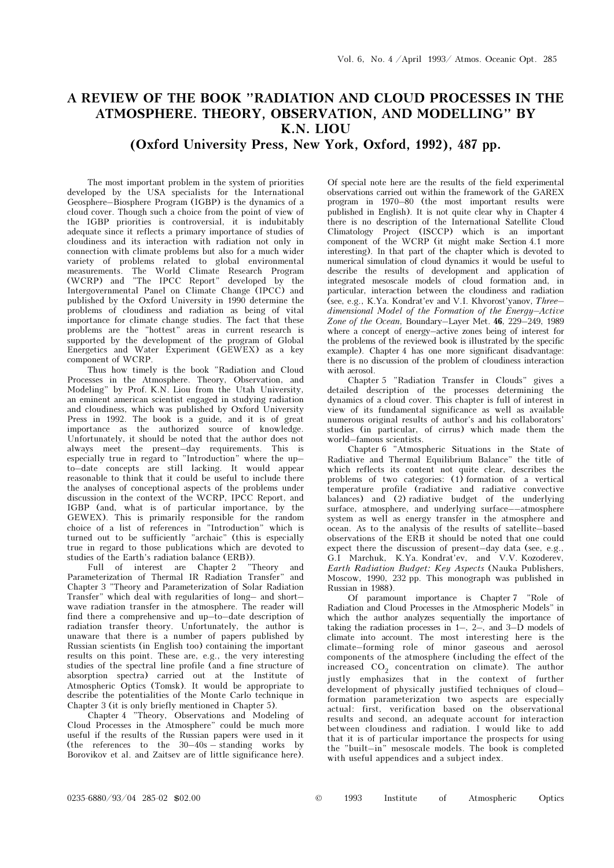## A REVIEW OF THE BOOK "RADIATION AND CLOUD PROCESSES IN THE ATMOSPHERE. THEORY, OBSERVATION, AND MODELLING" BY K.N. LIOU

## (Oxford University Press, New York, Oxford, 1992), 487 pp.

The most important problem in the system of priorities developed by the USA specialists for the International Geosphere–Biosphere Program (IGBP) is the dynamics of a cloud cover. Though such a choice from the point of view of the IGBP priorities is controversial, it is indubitably adequate since it reflects a primary importance of studies of cloudiness and its interaction with radiation not only in connection with climate problems but also for a much wider variety of problems related to global environmental measurements. The World Climate Research Program (WCRP) and "The IPCC Report" developed by the Intergovernmental Panel on Climate Change (IPCC) and published by the Oxford University in 1990 determine the problems of cloudiness and radiation as being of vital importance for climate change studies. The fact that these problems are the "hottest" areas in current research is supported by the development of the program of Global Energetics and Water Experiment (GEWEX) as a key component of WCRP.

Thus how timely is the book "Radiation and Cloud Processes in the Atmosphere. Theory, Observation, and Modeling" by Prof. K.N. Liou from the Utah University, an eminent american scientist engaged in studying radiation and cloudiness, which was published by Oxford University Press in 1992. The book is a guide, and it is of great importance as the authorized source of knowledge. Unfortunately, it should be noted that the author does not always meet the present–day requirements. This is especially true in regard to "Introduction" where the up– to–date concepts are still lacking. It would appear reasonable to think that it could be useful to include there the analyses of conceptional aspects of the problems under discussion in the context of the WCRP, IPCC Report, and IGBP (and, what is of particular importance, by the GEWEX). This is primarily responsible for the random choice of a list of references in "Introduction" which is turned out to be sufficiently "archaic" (this is especially true in regard to those publications which are devoted to studies of the Earth's radiation balance (ERB)).

Full of interest are Chapter 2 "Theory and Parameterization of Thermal IR Radiation Transfer" and Chapter 3 "Theory and Parameterization of Solar Radiation Transfer" which deal with regularities of long– and short– wave radiation transfer in the atmosphere. The reader will find there a comprehensive and up–to–date description of radiation transfer theory. Unfortunately, the author is unaware that there is a number of papers published by Russian scientists (in English too) containing the important results on this point. These are, e.g., the very interesting studies of the spectral line profile (and a fine structure of absorption spectra) carried out at the Institute of Atmospheric Optics (Tomsk). It would be appropriate to describe the potentialities of the Monte Carlo technique in Chapter 3 (it is only briefly mentioned in Chapter 5).

Chapter 4 "Theory, Observations and Modeling of Cloud Processes in the Atmosphere" could be much more useful if the results of the Russian papers were used in it (the references to the 30–40s – standing works by Borovikov et al. and Zaitsev are of little significance here).

Of special note here are the results of the field experimental observations carried out within the framework of the GAREX program in 1970–80 (the most important results were published in English). It is not quite clear why in Chapter 4 there is no description of the International Satellite Cloud Climatology Project (ISCCP) which is an important component of the WCRP (it might make Section 4.1 more interesting). In that part of the chapter which is devoted to numerical simulation of cloud dynamics it would be useful to describe the results of development and application of integrated mesoscale models of cloud formation and, in particular, interaction between the cloudiness and radiation (see, e.g., K.Ya. Kondrat'ev and V.I. Khvorost'yanov, Three– dimensional Model of the Formation of the Energy–Active Zone of the Ocean, Boundary–Layer Met. 46, 229–249, 1989 where a concept of energy–active zones being of interest for the problems of the reviewed book is illustrated by the specific example). Chapter 4 has one more significant disadvantage: there is no discussion of the problem of cloudiness interaction with aerosol.

Chapter 5 "Radiation Transfer in Clouds" gives a detailed description of the processes determining the dynamics of a cloud cover. This chapter is full of interest in view of its fundamental significance as well as available numerous original results of author's and his collaborators' studies (in particular, of cirrus) which made them the world–famous scientists.

Chapter 6 "Atmospheric Situations in the State of Radiative and Thermal Equilibrium Balance" the title of which reflects its content not quite clear, describes the problems of two categories: (1) formation of a vertical temperature profile (radiative and radiative convective balances) and (2) radiative budget of the underlying surface, atmosphere, and underlying surface––atmosphere system as well as energy transfer in the atmosphere and ocean. As to the analysis of the results of satellite–based observations of the ERB it should be noted that one could expect there the discussion of present–day data (see, e.g., G.I Marchuk, K.Ya. Kondrat'ev, and V.V. Kozoderev, Earth Radiation Budget: Key Aspects (Nauka Publishers, Moscow, 1990, 232 pp. This monograph was published in Russian in 1988).

Of paramount importance is Chapter 7 "Role of Radiation and Cloud Processes in the Atmospheric Models" in which the author analyzes sequentially the importance of taking the radiation processes in  $1-$ ,  $2-$ , and  $3-D$  models of climate into account. The most interesting here is the climate–forming role of minor gaseous and aerosol components of the atmosphere (including the effect of the increased  $CO<sub>2</sub>$  concentration on climate). The author justly emphasizes that in the context of further development of physically justified techniques of cloud– formation parameterization two aspects are especially actual: first, verification based on the observational results and second, an adequate account for interaction between cloudiness and radiation. I would like to add that it is of particular importance the prospects for using the "built–in" mesoscale models. The book is completed with useful appendices and a subject index.